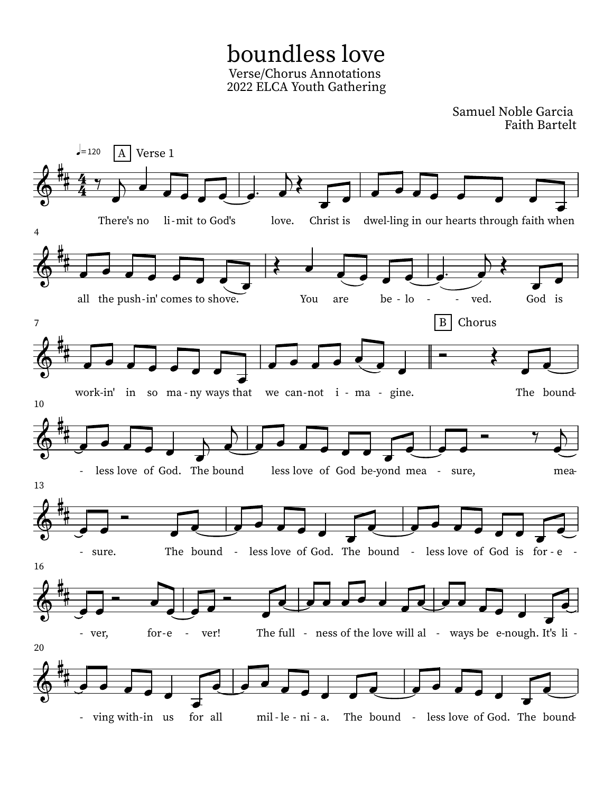boundless love Verse/Chorus Annotations 2022 ELCA Youth Gathering

Samuel Noble Garcia Faith Bartelt

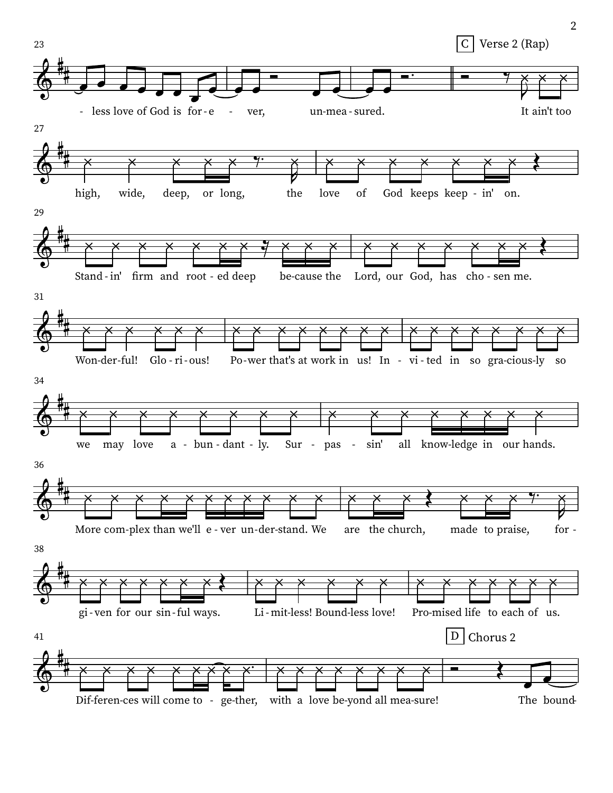

 $\overline{2}$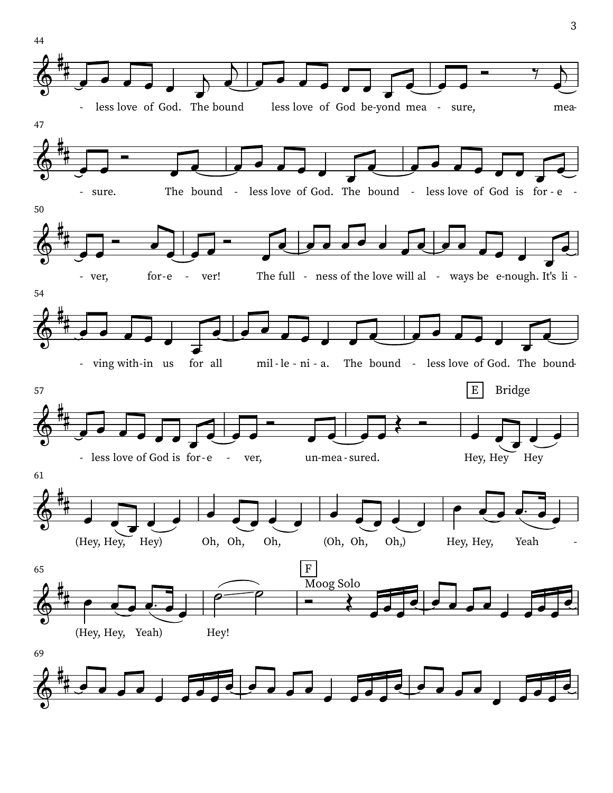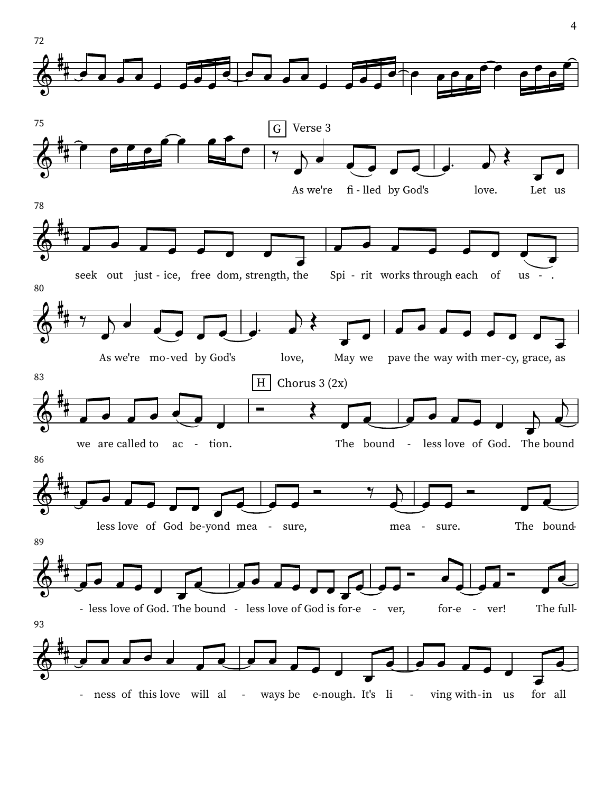![](_page_3_Figure_0.jpeg)